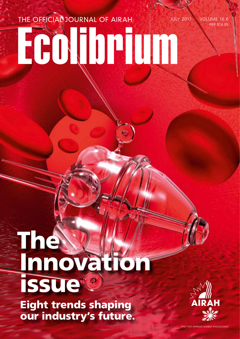## JULY 2017 · VOLUME 16.6 Ecolibrium THE OFFICIAL JOURNAL OF AIRAH

# The Innovation issue<sup>®</sup>

Eight trends shaping our industry's future.



RRP \$14.95